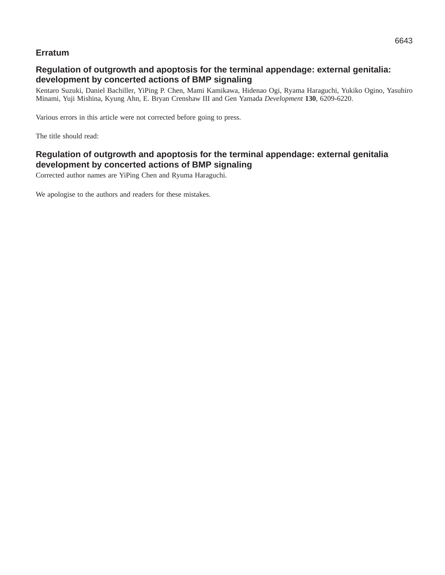# **Erratum**

# **Regulation of outgrowth and apoptosis for the terminal appendage: external genitalia: development by concerted actions of BMP signaling**

Kentaro Suzuki, Daniel Bachiller, YiPing P. Chen, Mami Kamikawa, Hidenao Ogi, Ryama Haraguchi, Yukiko Ogino, Yasuhiro Minami, Yuji Mishina, Kyung Ahn, E. Bryan Crenshaw III and Gen Yamada *Development* **130**, 6209-6220.

Various errors in this article were not corrected before going to press.

The title should read:

**Regulation of outgrowth and apoptosis for the terminal appendage: external genitalia development by concerted actions of BMP signaling**

Corrected author names are YiPing Chen and Ryuma Haraguchi.

We apologise to the authors and readers for these mistakes.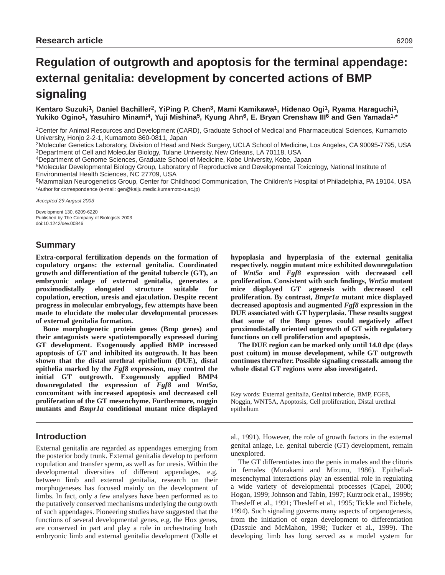# **Regulation of outgrowth and apoptosis for the terminal appendage: external genitalia: development by concerted actions of BMP signaling**

Kentaro Suzuki<sup>1</sup>, Daniel Bachiller<sup>2</sup>, YiPing P. Chen<sup>3</sup>, Mami Kamikawa<sup>1</sup>, Hidenao Ogi<sup>1</sup>, Ryama Haraguchi<sup>1</sup>, **Yukiko Ogino1, Yasuhiro Minami4, Yuji Mishina5, Kyung Ahn6, E. Bryan Crenshaw III6 and Gen Yamada1,\***

1Center for Animal Resources and Development (CARD), Graduate School of Medical and Pharmaceutical Sciences, Kumamoto University, Honjo 2-2-1, Kumamoto 860-0811, Japan

2Molecular Genetics Laboratory, Division of Head and Neck Surgery, UCLA School of Medicine, Los Angeles, CA 90095-7795, USA 3Department of Cell and Molecular Biology, Tulane University, New Orleans, LA 70118, USA

4Department of Genome Sciences, Graduate School of Medicine, Kobe University, Kobe, Japan

5Molecular Developmental Biology Group, Laboratory of Reproductive and Developmental Toxicology, National Institute of Environmental Health Sciences, NC 27709, USA

6Mammalian Neurogenetics Group, Center for Childhood Communication, The Children's Hospital of Philadelphia, PA 19104, USA \*Author for correspondence (e-mail: gen@kaiju.medic.kumamoto-u.ac.jp)

Accepted 29 August 2003

Development 130, 6209-6220 Published by The Company of Biologists 2003 doi:10.1242/dev.00846

# **Summary**

**Extra-corporal fertilization depends on the formation of copulatory organs: the external genitalia. Coordinated growth and differentiation of the genital tubercle (GT), an embryonic anlage of external genitalia, generates a proximodistally elongated structure suitable for copulation, erection, uresis and ejaculation. Despite recent progress in molecular embryology, few attempts have been made to elucidate the molecular developmental processes of external genitalia formation.**

**Bone morphogenetic protein genes (Bmp genes) and their antagonists were spatiotemporally expressed during GT development. Exogenously applied BMP increased apoptosis of GT and inhibited its outgrowth. It has been shown that the distal urethral epithelium (DUE), distal epithelia marked by the** *Fgf8* **expression, may control the initial GT outgrowth. Exogenously applied BMP4 downregulated the expression of** *Fgf8* **and** *Wnt5a***, concomitant with increased apoptosis and decreased cell proliferation of the GT mesenchyme. Furthermore, noggin mutants and** *Bmpr1a* **conditional mutant mice displayed**

# **Introduction**

External genitalia are regarded as appendages emerging from the posterior body trunk. External genitalia develop to perform copulation and transfer sperm, as well as for uresis. Within the developmental diversities of different appendages, e.g. between limb and external genitalia, research on their morphogeneses has focused mainly on the development of limbs. In fact, only a few analyses have been performed as to the putatively conserved mechanisms underlying the outgrowth of such appendages. Pioneering studies have suggested that the functions of several developmental genes, e.g. the Hox genes, are conserved in part and play a role in orchestrating both embryonic limb and external genitalia development (Dolle et

**hypoplasia and hyperplasia of the external genitalia respectively. noggin mutant mice exhibited downregulation of** *Wnt5a* **and** *Fgf8* **expression with decreased cell proliferation. Consistent with such findings,** *Wnt5a* **mutant mice displayed GT agenesis with decreased cell proliferation. By contrast,** *Bmpr1a* **mutant mice displayed decreased apoptosis and augmented** *Fgf8* **expression in the DUE associated with GT hyperplasia. These results suggest that some of the Bmp genes could negatively affect proximodistally oriented outgrowth of GT with regulatory functions on cell proliferation and apoptosis.** 

**The DUE region can be marked only until 14.0 dpc (days post coitum) in mouse development, while GT outgrowth continues thereafter. Possible signaling crosstalk among the whole distal GT regions were also investigated.**

Key words: External genitalia, Genital tubercle, BMP, FGF8, Noggin, WNT5A, Apoptosis, Cell proliferation, Distal urethral epithelium

al., 1991). However, the role of growth factors in the external genital anlage, i.e. genital tubercle (GT) development, remain unexplored.

The GT differentiates into the penis in males and the clitoris in females (Murakami and Mizuno, 1986). Epithelialmesenchymal interactions play an essential role in regulating a wide variety of developmental processes (Capel, 2000; Hogan, 1999; Johnson and Tabin, 1997; Kurzrock et al., 1999b; Thesleff et al., 1991; Thesleff et al., 1995; Tickle and Eichele, 1994). Such signaling governs many aspects of organogenesis, from the initiation of organ development to differentiation (Dassule and McMahon, 1998; Tucker et al., 1999). The developing limb has long served as a model system for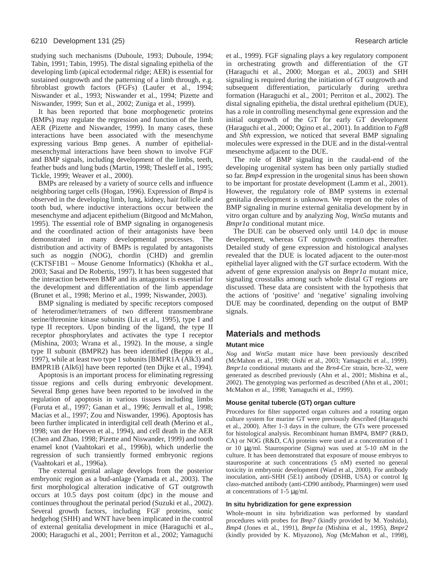studying such mechanisms (Duboule, 1993; Duboule, 1994; Tabin, 1991; Tabin, 1995). The distal signaling epithelia of the developing limb (apical ectodermal ridge; AER) is essential for sustained outgrowth and the patterning of a limb through, e.g. fibroblast growth factors (FGFs) (Laufer et al., 1994; Niswander et al., 1993; Niswander et al., 1994; Pizette and Niswander, 1999; Sun et al., 2002; Zuniga et al., 1999).

It has been reported that bone morphogenetic proteins (BMPs) may regulate the regression and function of the limb AER (Pizette and Niswander, 1999). In many cases, these interactions have been associated with the mesenchyme expressing various Bmp genes. A number of epithelialmesenchymal interactions have been shown to involve FGF and BMP signals, including development of the limbs, teeth, feather buds and lung buds (Martin, 1998; Thesleff et al., 1995; Tickle, 1999; Weaver et al., 2000).

BMPs are released by a variety of source cells and influence neighboring target cells (Hogan, 1996). Expression of *Bmp4* is observed in the developing limb, lung, kidney, hair follicle and tooth bud, where inductive interactions occur between the mesenchyme and adjacent epithelium (Bitgood and McMahon, 1995). The essential role of BMP signaling in organogenesis and the coordinated action of their antagonists have been demonstrated in many developmental processes. The distribution and activity of BMPs is regulated by antagonists such as noggin (NOG), chordin (CHD) and gremlin (CKTSF1B1 – Mouse Genome Informatics) (Khokha et al., 2003; Sasai and De Robertis, 1997). It has been suggested that the interaction between BMP and its antagonist is essential for the development and differentiation of the limb appendage (Brunet et al., 1998; Merino et al., 1999; Niswander, 2003).

BMP signaling is mediated by specific receptors composed of heterodimer/tetramers of two different transmembrane serine/threonine kinase subunits (Liu et al., 1995), type I and type II receptors. Upon binding of the ligand, the type II receptor phosphorylates and activates the type I receptor (Mishina, 2003; Wrana et al., 1992). In the mouse, a single type II subunit (BMPR2) has been identified (Beppu et al., 1997), while at least two type 1 subunits [BMPR1A (Alk3) and BMPR1B (Alk6)] have been reported (ten Dijke et al., 1994).

Apoptosis is an important process for eliminating regressing tissue regions and cells during embryonic development. Several Bmp genes have been reported to be involved in the regulation of apoptosis in various tissues including limbs (Furuta et al., 1997; Ganan et al., 1996; Jernvall et al., 1998; Macias et al., 1997; Zou and Niswander, 1996). Apoptosis has been further implicated in interdigital cell death (Merino et al., 1998; van der Hoeven et al., 1994), and cell death in the AER (Chen and Zhao, 1998; Pizette and Niswander, 1999) and tooth enamel knot (Vaahtokari et al., 1996b), which underlie the regression of such transiently formed embryonic regions (Vaahtokari et al., 1996a).

The external genital anlage develops from the posterior embryonic region as a bud-anlage (Yamada et al., 2003). The first morphological alteration indicative of GT outgrowth occurs at 10.5 days post coitum (dpc) in the mouse and continues throughout the perinatal period (Suzuki et al., 2002). Several growth factors, including FGF proteins, sonic hedgehog (SHH) and WNT have been implicated in the control of external genitalia development in mice (Haraguchi et al., 2000; Haraguchi et al., 2001; Perriton et al., 2002; Yamaguchi et al., 1999). FGF signaling plays a key regulatory component in orchestrating growth and differentiation of the GT (Haraguchi et al., 2000; Morgan et al., 2003) and SHH signaling is required during the initiation of GT outgrowth and subsequent differentiation, particularly during urethra formation (Haraguchi et al., 2001; Perriton et al., 2002). The distal signaling epithelia, the distal urethral epithelium (DUE), has a role in controlling mesenchymal gene expression and the initial outgrowth of the GT for early GT development (Haraguchi et al., 2000; Ogino et al., 2001). In addition to *Fgf8* and *Shh* expression, we noticed that several BMP signaling molecules were expressed in the DUE and in the distal-ventral mesenchyme adjacent to the DUE.

The role of BMP signaling in the caudal-end of the developing urogenital system has been only partially studied so far. *Bmp4* expression in the urogenital sinus has been shown to be important for prostate development (Lamm et al., 2001). However, the regulatory role of BMP systems in external genitalia development is unknown. We report on the roles of BMP signaling in murine external genitalia development by in vitro organ culture and by analyzing *Nog*, *Wnt5a* mutants and *Bmpr1a* conditional mutant mice.

The DUE can be observed only until 14.0 dpc in mouse development, whereas GT outgrowth continues thereafter. Detailed study of gene expression and histological analyses revealed that the DUE is located adjacent to the outer-most epithelial layer aligned with the GT surface ectoderm*.* With the advent of gene expression analysis on *Bmpr1a* mutant mice, signaling crosstalks among such whole distal GT regions are discussed. These data are consistent with the hypothesis that the actions of 'positive' and 'negative' signaling involving DUE may be coordinated, depending on the output of BMP signals.

# **Materials and methods**

#### **Mutant mice**

*Nog* and *Wnt5a* mutant mice have been previously described (McMahon et al., 1998; Oishi et al., 2003; Yamaguchi et al., 1999). *Bmpr1a* conditional mutants and the *Brn4*-Cre strain, bcre-32, were generated as described previously (Ahn et al., 2001; Mishina et al., 2002). The genotyping was performed as described (Ahn et al., 2001; McMahon et al., 1998; Yamaguchi et al., 1999).

#### **Mouse genital tubercle (GT) organ culture**

Procedures for filter supported organ cultures and a rotating organ culture system for murine GT were previously described (Haraguchi et al., 2000). After 1-3 days in the culture, the GTs were processed for histological analysis. Recombinant human BMP4, BMP7 (R&D, CA) or NOG (R&D, CA) proteins were used at a concentration of 1 or 10 µg/ml. Staurosporine (Sigma) was used at 5-10 nM in the culture. It has been demonstrated that exposure of mouse embryos to staurosporine at such concentrations (5 nM) exerted no general toxicity in embryonic development (Ward et al., 2000). For antibody inoculation, anti-SHH (5E1) antibody (DSHB, USA) or control Ig class-matched antibody (anti-CD90 antibody, Pharmingen) were used at concentrations of 1-5 µg/ml.

#### **In situ hybridization for gene expression**

Whole-mount in situ hybridization was performed by standard procedures with probes for *Bmp7* (kindly provided by M. Yoshida), *Bmp4* (Jones et al., 1991), *Bmpr1a* (Mishina et al., 1995), *Bmpr2* (kindly provided by K. Miyazono), *Nog* (McMahon et al., 1998),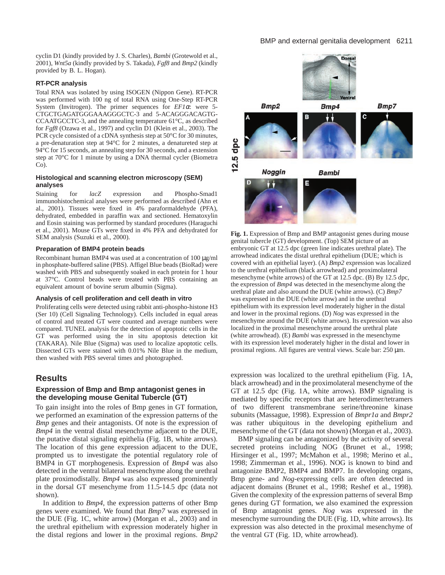#### BMP and external genitalia development 6211

cyclin D1 (kindly provided by J. S. Charles), *Bambi* (Grotewold et al., 2001), *Wnt5a* (kindly provided by S. Takada), *Fgf8* and *Bmp2* (kindly provided by B. L. Hogan).

#### **RT-PCR analysis**

Total RNA was isolated by using ISOGEN (Nippon Gene). RT-PCR was performed with 100 ng of total RNA using One-Step RT-PCR System (Invitrogen). The primer sequences for *EF1*α: were 5- CTGCTGAGATGGGAAAGGGCTC-3 and 5-ACAGGGACAGTG-CCAATGCCTC-3, and the annealing temperature 61°C, as described for *Fgf8* (Ozawa et al., 1997) and cyclin D1 (Klein et al., 2003). The PCR cycle consisted of a cDNA synthesis step at 50°C for 30 minutes, a pre-denaturation step at 94°C for 2 minutes, a denatureted step at 94°C for 15 seconds, an annealing step for 30 seconds, and a extension step at 70°C for 1 minute by using a DNA thermal cycler (Biometra Co).

#### **Histological and scanning electron microscopy (SEM) analyses**

Staining for *lacZ* expression and Phospho-Smad1 immunohistochemical analyses were performed as described (Ahn et al., 2001). Tissues were fixed in 4% paraformaldehyde (PFA), dehydrated, embedded in paraffin wax and sectioned. Hematoxylin and Eosin staining was performed by standard procedures (Haraguchi et al., 2001). Mouse GTs were fixed in 4% PFA and dehydrated for SEM analysis (Suzuki et al., 2000).

#### **Preparation of BMP4 protein beads**

Recombinant human BMP4 was used at a concentration of 100  $\mu$ g/ml in phosphate-buffered saline (PBS). Affigel Blue beads (BioRad) were washed with PBS and subsequently soaked in each protein for 1 hour at 37°C. Control beads were treated with PBS containing an equivalent amount of bovine serum albumin (Sigma).

#### **Analysis of cell proliferation and cell death in vitro**

Proliferating cells were detected using rabbit anti-phospho-histone H3 (Ser 10) (Cell Signaling Technology). Cells included in equal areas of control and treated GT were counted and average numbers were compared. TUNEL analysis for the detection of apoptotic cells in the GT was performed using the in situ apoptosis detection kit (TAKARA). Nile Blue (Sigma) was used to localize apoptotic cells. Dissected GTs were stained with 0.01% Nile Blue in the medium, then washed with PBS several times and photographed.

#### **Results**

#### **Expression of Bmp and Bmp antagonist genes in the developing mouse Genital Tubercle (GT)**

To gain insight into the roles of Bmp genes in GT formation, we performed an examination of the expression patterns of the *Bmp* genes and their antagonists. Of note is the expression of *Bmp4* in the ventral distal mesenchyme adjacent to the DUE, the putative distal signaling epithelia (Fig. 1B, white arrows). The location of this gene expression adjacent to the DUE, prompted us to investigate the potential regulatory role of BMP4 in GT morphogenesis. Expression of *Bmp4* was also detected in the ventral bilateral mesenchyme along the urethral plate proximodistally. *Bmp4* was also expressed prominently in the dorsal GT mesenchyme from 11.5-14.5 dpc (data not shown).

In addition to *Bmp4*, the expression patterns of other Bmp genes were examined. We found that *Bmp7* was expressed in the DUE (Fig. 1C, white arrow) (Morgan et al., 2003) and in the urethral epithelium with expression moderately higher in the distal regions and lower in the proximal regions. *Bmp2*



**Fig. 1.** Expression of Bmp and BMP antagonist genes during mouse genital tubercle (GT) development. (Top) SEM picture of an embryonic GT at 12.5 dpc (green line indicates urethral plate). The arrowhead indicates the distal urethral epithelium (DUE; which is covered with an epithelial layer). (A) *Bmp2* expression was localized to the urethral epithelium (black arrowhead) and proximolateral mesenchyme (white arrows) of the GT at 12.5 dpc. (B) By 12.5 dpc, the expression of *Bmp4* was detected in the mesenchyme along the urethral plate and also around the DUE (white arrows). (C) *Bmp7* was expressed in the DUE (white arrow) and in the urethral epithelium with its expression level moderately higher in the distal and lower in the proximal regions. (D) *Nog* was expressed in the mesenchyme around the DUE (white arrows). Its expression was also localized in the proximal mesenchyme around the urethral plate (white arrowhead). (E) *Bambi* was expressed in the mesenchyme with its expression level moderately higher in the distal and lower in proximal regions. All figures are ventral views. Scale bar: 250 µm.

expression was localized to the urethral epithelium (Fig. 1A, black arrowhead) and in the proximolateral mesenchyme of the GT at 12.5 dpc (Fig. 1A, white arrows). BMP signaling is mediated by specific receptors that are heterodimer/tetramers of two different transmembrane serine/threonine kinase subunits (Massague, 1998). Expression of *Bmpr1a* and *Bmpr2* was rather ubiquitous in the developing epithelium and mesenchyme of the GT (data not shown) (Morgan et al., 2003).

BMP signaling can be antagonized by the activity of several secreted proteins including NOG (Brunet et al., 1998; Hirsinger et al., 1997; McMahon et al., 1998; Merino et al., 1998; Zimmerman et al., 1996). NOG is known to bind and antagonize BMP2, BMP4 and BMP7. In developing organs, Bmp gene- and *Nog*-expressing cells are often detected in adjacent domains (Brunet et al., 1998; Reshef et al., 1998). Given the complexity of the expression patterns of several Bmp genes during GT formation, we also examined the expression of Bmp antagonist genes. *Nog* was expressed in the mesenchyme surrounding the DUE (Fig. 1D, white arrows). Its expression was also detected in the proximal mesenchyme of the ventral GT (Fig. 1D, white arrowhead).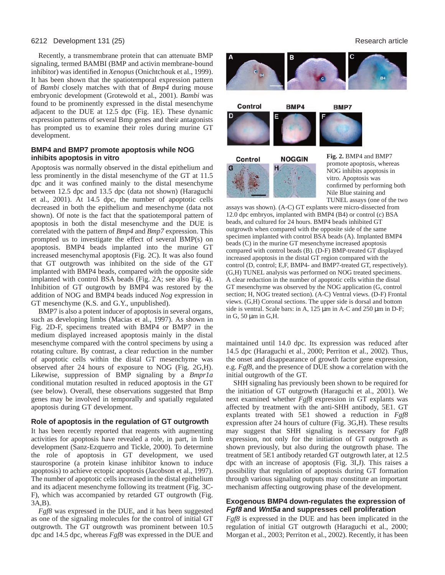#### 6212 Development 131 (25) Research article

Recently, a transmembrane protein that can attenuate BMP signaling, termed BAMBI (BMP and activin membrane-bound inhibitor) was identified in *Xenopus* (Onichtchouk et al., 1999). It has been shown that the spatiotemporal expression pattern of *Bambi* closely matches with that of *Bmp4* during mouse embryonic development (Grotewold et al., 2001). *Bambi* was found to be prominently expressed in the distal mesenchyme adjacent to the DUE at 12.5 dpc (Fig. 1E). These dynamic expression patterns of several Bmp genes and their antagonists has prompted us to examine their roles during murine GT development.

#### **BMP4 and BMP7 promote apoptosis while NOG inhibits apoptosis in vitro**

Apoptosis was normally observed in the distal epithelium and less prominently in the distal mesenchyme of the GT at 11.5 dpc and it was confined mainly to the distal mesenchyme between 12.5 dpc and 13.5 dpc (data not shown) (Haraguchi et al., 2001). At 14.5 dpc, the number of apoptotic cells decreased in both the epithelium and mesenchyme (data not shown). Of note is the fact that the spatiotemporal pattern of apoptosis in both the distal mesenchyme and the DUE is correlated with the pattern of *Bmp4* and *Bmp7* expression. This prompted us to investigate the effect of several BMP(s) on apoptosis. BMP4 beads implanted into the murine GT increased mesenchymal apoptosis (Fig. 2C). It was also found that GT outgrowth was inhibited on the side of the GT implanted with BMP4 beads, compared with the opposite side implanted with control BSA beads (Fig. 2A; see also Fig. 4). Inhibition of GT outgrowth by BMP4 was restored by the addition of NOG and BMP4 beads induced *Nog* expression in GT mesenchyme (K.S. and G.Y., unpublished).

BMP7 is also a potent inducer of apoptosis in several organs, such as developing limbs (Macias et al., 1997). As shown in Fig. 2D-F, specimens treated with BMP4 or BMP7 in the medium displayed increased apoptosis mainly in the distal mesenchyme compared with the control specimens by using a rotating culture. By contrast, a clear reduction in the number of apoptotic cells within the distal GT mesenchyme was observed after 24 hours of exposure to NOG (Fig. 2G,H). Likewise, suppression of BMP signaling by a *Bmpr1a* conditional mutation resulted in reduced apoptosis in the GT (see below). Overall, these observations suggested that Bmp genes may be involved in temporally and spatially regulated apoptosis during GT development.

#### **Role of apoptosis in the regulation of GT outgrowth**

It has been recently reported that reagents with augmenting activities for apoptosis have revealed a role, in part, in limb development (Sanz-Ezquerro and Tickle, 2000). To determine the role of apoptosis in GT development, we used staurosporine (a protein kinase inhibitor known to induce apoptosis) to achieve ectopic apoptosis (Jacobson et al., 1997). The number of apoptotic cells increased in the distal epithelium and its adjacent mesenchyme following its treatment (Fig. 3C-F), which was accompanied by retarded GT outgrowth (Fig. 3A,B).

*Fgf8* was expressed in the DUE, and it has been suggested as one of the signaling molecules for the control of initial GT outgrowth. The GT outgrowth was prominent between 10.5 dpc and 14.5 dpc, whereas *Fgf8* was expressed in the DUE and



Control BMP4



Control **NOGGIN**  **Fig. 2.** BMP4 and BMP7 promote apoptosis, whereas NOG inhibits apoptosis in vitro. Apoptosis was confirmed by performing both Nile Blue staining and TUNEL assays (one of the two

assays was shown). (A-C) GT explants were micro-dissected from 12.0 dpc embryos, implanted with BMP4 (B4) or control (c) BSA beads, and cultured for 24 hours. BMP4 beads inhibited GT outgrowth when compared with the opposite side of the same specimen implanted with control BSA beads (A). Implanted BMP4 beads (C) in the murine GT mesenchyme increased apoptosis compared with control beads (B). (D-F) BMP-treated GT displayed increased apoptosis in the distal GT region compared with the control (D, control; E,F, BMP4- and BMP7-treated GT, respectively). (G,H) TUNEL analysis was performed on NOG treated specimens. A clear reduction in the number of apoptotic cells within the distal GT mesenchyme was observed by the NOG application (G, control section; H, NOG treated section). (A-C) Ventral views. (D-F) Frontal views. (G,H) Coronal sections. The upper side is dorsal and bottom side is ventral. Scale bars: in A, 125  $\mu$ m in A-C and 250  $\mu$ m in D-F; in G, 50 µm in G,H.

maintained until 14.0 dpc. Its expression was reduced after 14.5 dpc (Haraguchi et al., 2000; Perriton et al., 2002). Thus, the onset and disappearance of growth factor gene expression, e.g. *Fgf8*, and the presence of DUE show a correlation with the initial outgrowth of the GT.

SHH signaling has previously been shown to be required for the initiation of GT outgrowth (Haraguchi et al., 2001). We next examined whether *Fgf8* expression in GT explants was affected by treatment with the anti-SHH antibody, 5E1. GT explants treated with 5E1 showed a reduction in *Fgf8* expression after 24 hours of culture (Fig. 3G,H). These results may suggest that SHH signaling is necessary for *Fgf8* expression, not only for the initiation of GT outgrowth as shown previously, but also during the outgrowth phase. The treatment of 5E1 antibody retarded GT outgrowth later, at 12.5 dpc with an increase of apoptosis (Fig. 3I,J). This raises a possibility that regulation of apoptosis during GT formation through various signaling outputs may constitute an important mechanism affecting outgrowing phase of the development.

#### **Exogenous BMP4 down-regulates the expression of Fgf8 and Wnt5a and suppresses cell proliferation**

*Fgf8* is expressed in the DUE and has been implicated in the regulation of initial GT outgrowth (Haraguchi et al., 2000; Morgan et al., 2003; Perriton et al., 2002). Recently, it has been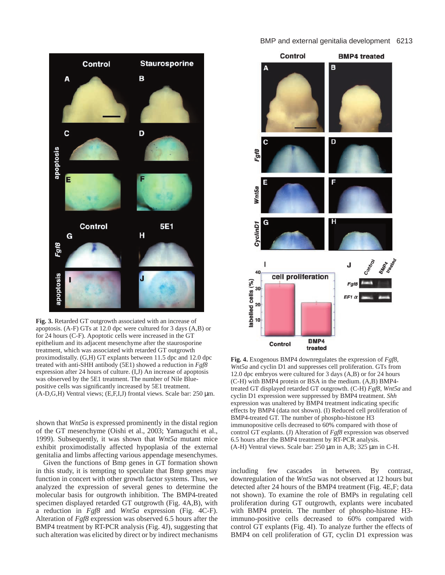



**Fig. 3.** Retarded GT outgrowth associated with an increase of apoptosis. (A-F) GTs at 12.0 dpc were cultured for 3 days (A,B) or for 24 hours (C-F). Apoptotic cells were increased in the GT epithelium and its adjacent mesenchyme after the staurosporine treatment, which was associated with retarded GT outgrowth proximodistally. (G,H) GT explants between 11.5 dpc and 12.0 dpc treated with anti-SHH antibody (5E1) showed a reduction in *Fgf8* expression after 24 hours of culture. (I,J) An increase of apoptosis was observed by the 5E1 treatment. The number of Nile Bluepositive cells was significantly increased by 5E1 treatment. (A-D,G,H) Ventral views; (E,F,I,J) frontal views. Scale bar:  $250 \mu m$ .

shown that *Wnt5a* is expressed prominently in the distal region of the GT mesenchyme (Oishi et al., 2003; Yamaguchi et al., 1999). Subsequently, it was shown that *Wnt5a* mutant mice exhibit proximodistally affected hypoplasia of the external genitalia and limbs affecting various appendage mesenchymes.

Given the functions of Bmp genes in GT formation shown in this study, it is tempting to speculate that Bmp genes may function in concert with other growth factor systems. Thus, we analyzed the expression of several genes to determine the molecular basis for outgrowth inhibition. The BMP4-treated specimen displayed retarded GT outgrowth (Fig. 4A,B), with a reduction in *Fgf8* and *Wnt5a* expression (Fig. 4C-F). Alteration of *Fgf8* expression was observed 6.5 hours after the BMP4 treatment by RT-PCR analysis (Fig. 4J), suggesting that such alteration was elicited by direct or by indirect mechanisms



**Fig. 4.** Exogenous BMP4 downregulates the expression of *Fgf8*, *Wnt5a* and cyclin D1 and suppresses cell proliferation. GTs from 12.0 dpc embryos were cultured for 3 days (A,B) or for 24 hours (C-H) with BMP4 protein or BSA in the medium. (A,B) BMP4 treated GT displayed retarded GT outgrowth. (C-H) *Fgf8*, *Wnt5a* and cyclin D1 expression were suppressed by BMP4 treatment. *Shh* expression was unaltered by BMP4 treatment indicating specific effects by BMP4 (data not shown). (I) Reduced cell proliferation of BMP4-treated GT. The number of phospho-histone H3 immunopositive cells decreased to 60% compared with those of control GT explants. (J) Alteration of *Fgf8* expression was observed 6.5 hours after the BMP4 treatment by RT-PCR analysis. (A-H) Ventral views. Scale bar:  $250 \mu m$  in A,B;  $325 \mu m$  in C-H.

including few cascades in between. By contrast, downregulation of the *Wnt5a* was not observed at 12 hours but detected after 24 hours of the BMP4 treatment (Fig. 4E,F; data not shown). To examine the role of BMPs in regulating cell proliferation during GT outgrowth, explants were incubated with BMP4 protein. The number of phospho-histone H3 immuno-positive cells decreased to 60% compared with control GT explants (Fig. 4I). To analyze further the effects of BMP4 on cell proliferation of GT, cyclin D1 expression was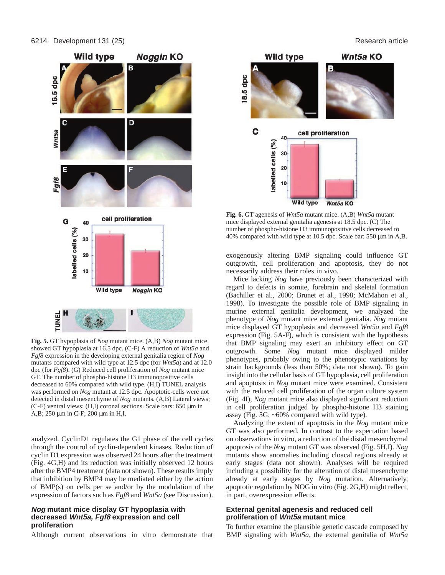

**Fig. 5.** GT hypoplasia of *Nog* mutant mice. (A,B) *Nog* mutant mice showed GT hypoplasia at 16.5 dpc. (C-F) A reduction of *Wnt5a* and *Fgf8* expression in the developing external genitalia region of *Nog* mutants compared with wild type at 12.5 dpc (for *Wnt5a*) and at 12.0 dpc (for *Fgf8*). (G) Reduced cell proliferation of *Nog* mutant mice GT. The number of phospho-histone H3 immunopositive cells decreased to 60% compared with wild type. (H,I) TUNEL analysis was performed on *Nog* mutant at 12.5 dpc. Apoptotic-cells were not detected in distal mesenchyme of *Nog* mutants. (A,B) Lateral views; (C-F) ventral views;  $(H,I)$  coronal sections. Scale bars: 650  $\mu$ m in A,B; 250 µm in C-F; 200 µm in H,I.

analyzed. CyclinD1 regulates the G1 phase of the cell cycles through the control of cyclin-dependent kinases. Reduction of cyclin D1 expression was observed 24 hours after the treatment (Fig. 4G,H) and its reduction was initially observed 12 hours after the BMP4 treatment (data not shown). These results imply that inhibition by BMP4 may be mediated either by the action of BMP(s) on cells per se and/or by the modulation of the expression of factors such as *Fgf8* and *Wnt5a* (see Discussion).

#### **Nog mutant mice display GT hypoplasia with decreased Wnt5a, Fgf8 expression and cell proliferation**

Although current observations in vitro demonstrate that

**Wild type** Wnt5a KO B 18.5 dpc C cell proliferation 40 labelled cells (%)  $30$ 20  $10$ **Wild type** Wnt5a KO

**Fig. 6.** GT agenesis of *Wnt5a* mutant mice. (A,B) *Wnt5a* mutant mice displayed external genitalia agenesis at 18.5 dpc. (C) The number of phospho-histone H3 immunopositive cells decreased to 40% compared with wild type at 10.5 dpc. Scale bar: 550 µm in A,B.

exogenously altering BMP signaling could influence GT outgrowth, cell proliferation and apoptosis, they do not necessarily address their roles in vivo.

Mice lacking *Nog* have previously been characterized with regard to defects in somite, forebrain and skeletal formation (Bachiller et al., 2000; Brunet et al., 1998; McMahon et al., 1998). To investigate the possible role of BMP signaling in murine external genitalia development, we analyzed the phenotype of *Nog* mutant mice external genitalia. *Nog* mutant mice displayed GT hypoplasia and decreased *Wnt5a* and *Fgf8* expression (Fig. 5A-F), which is consistent with the hypothesis that BMP signaling may exert an inhibitory effect on GT outgrowth. Some *Nog* mutant mice displayed milder phenotypes, probably owing to the phenotypic variations by strain backgrounds (less than 50%; data not shown). To gain insight into the cellular basis of GT hypoplasia, cell proliferation and apoptosis in *Nog* mutant mice were examined. Consistent with the reduced cell proliferation of the organ culture system (Fig. 4I), *Nog* mutant mice also displayed significant reduction in cell proliferation judged by phospho-histone H3 staining assay (Fig. 5G; ~60% compared with wild type).

Analyzing the extent of apoptosis in the *Nog* mutant mice GT was also performed. In contrast to the expectation based on observations in vitro, a reduction of the distal mesenchymal apoptosis of the *Nog* mutant GT was observed (Fig. 5H,I). *Nog* mutants show anomalies including cloacal regions already at early stages (data not shown). Analyses will be required including a possibility for the alteration of distal mesenchyme already at early stages by *Nog* mutation. Alternatively, apoptotic regulation by NOG in vitro (Fig. 2G,H) might reflect, in part, overexpression effects.

#### **External genital agenesis and reduced cell proliferation of Wnt5a mutant mice**

To further examine the plausible genetic cascade composed by BMP signaling with *Wnt5a*, the external genitalia of *Wnt5a*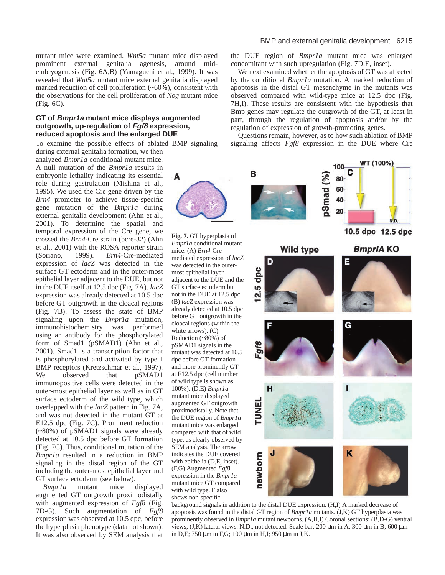mutant mice were examined. *Wnt5a* mutant mice displayed prominent external genitalia agenesis, around midembryogenesis (Fig. 6A,B) (Yamaguchi et al., 1999). It was revealed that *Wnt5a* mutant mice external genitalia displayed marked reduction of cell proliferation (~60%), consistent with the observations for the cell proliferation of *Nog* mutant mice (Fig. 6C).

#### **GT of Bmpr1a mutant mice displays augmented outgrowth, up-regulation of Fgf8 expression, reduced apoptosis and the enlarged DUE**

To examine the possible effects of ablated BMP signaling during external genitalia formation, we then

analyzed *Bmpr1a* conditional mutant mice. A null mutation of the *Bmpr1a* results in embryonic lethality indicating its essential role during gastrulation (Mishina et al., 1995). We used the Cre gene driven by the *Brn4* promoter to achieve tissue-specific gene mutation of the *Bmpr1a* during external genitalia development (Ahn et al., 2001). To determine the spatial and temporal expression of the Cre gene, we crossed the *Brn4*-Cre strain (bcre-32) (Ahn et al., 2001) with the ROSA reporter strain (Soriano, 1999). *Brn4*-Cre-mediated expression of *lacZ* was detected in the surface GT ectoderm and in the outer-most epithelial layer adjacent to the DUE, but not in the DUE itself at 12.5 dpc (Fig. 7A). *lacZ* expression was already detected at 10.5 dpc before GT outgrowth in the cloacal regions (Fig. 7B). To assess the state of BMP signaling upon the *Bmpr1a* mutation, immunohistochemistry was performed using an antibody for the phosphorylated form of Smad1 (pSMAD1) (Ahn et al., 2001). Smad1 is a transcription factor that is phosphorylated and activated by type I BMP receptors (Kretzschmar et al., 1997). We observed that pSMAD1 immunopositive cells were detected in the outer-most epithelial layer as well as in GT surface ectoderm of the wild type, which overlapped with the *lacZ* pattern in Fig. 7A, and was not detected in the mutant GT at E12.5 dpc (Fig. 7C). Prominent reduction (~80%) of pSMAD1 signals were already detected at 10.5 dpc before GT formation (Fig. 7C). Thus, conditional mutation of the *Bmpr1a* resulted in a reduction in BMP signaling in the distal region of the GT including the outer-most epithelial layer and GT surface ectoderm (see below).

*Bmpr1a* mutant mice displayed augmented GT outgrowth proximodistally with augmented expression of *Fgf8* (Fig. 7D-G). Such augmentation of *Fgf8* expression was observed at 10.5 dpc, before the hyperplasia phenotype (data not shown). It was also observed by SEM analysis that

#### BMP and external genitalia development 6215

the DUE region of *Bmpr1a* mutant mice was enlarged concomitant with such upregulation (Fig. 7D,E, inset).

We next examined whether the apoptosis of GT was affected by the conditional *Bmpr1a* mutation. A marked reduction of apoptosis in the distal GT mesenchyme in the mutants was observed compared with wild-type mice at 12.5 dpc (Fig. 7H,I). These results are consistent with the hypothesis that Bmp genes may regulate the outgrowth of the GT, at least in part, through the regulation of apoptosis and/or by the regulation of expression of growth-promoting genes.

Questions remain, however, as to how such ablation of BMP signaling affects *Fgf8* expression in the DUE where Cre







background signals in addition to the distal DUE expression. (H,I) A marked decrease of apoptosis was found in the distal GT region of *Bmpr1a* mutants. (J,K) GT hyperplasia was prominently observed in *Bmpr1a* mutant newborns. (A,H,I) Coronal sections; (B,D-G) ventral views; (J,K) lateral views. N.D., not detected. Scale bar: 200 µm in A; 300 µm in B; 600 µm in D,E; 750 µm in F,G; 100 µm in H,I; 950 µm in J,K.



**Fig. 7.** GT hyperplasia of *Bmpr1a* conditional mutant mice. (A) *Brn4*-Cremediated expression of *lacZ* was detected in the outermost epithelial layer adjacent to the DUE and the GT surface ectoderm but not in the DUE at 12.5 dpc. (B) *lacZ* expression was already detected at 10.5 dpc before GT outgrowth in the cloacal regions (within the white arrows). (C) Reduction (~80%) of pSMAD1 signals in the mutant was detected at 10.5 dpc before GT formation and more prominently GT at E12.5 dpc (cell number of wild type is shown as 100%). (D,E) *Bmpr1a* mutant mice displayed augmented GT outgrowth proximodistally. Note that the DUE region of *Bmpr1a* mutant mice was enlarged compared with that of wild type, as clearly observed by SEM analysis. The arrow indicates the DUE covered with epithelia (D,E, inset). (F,G) Augmented *Fgf8* expression in the *Bmpr1a* mutant mice GT compared with wild type. F also shows non-specific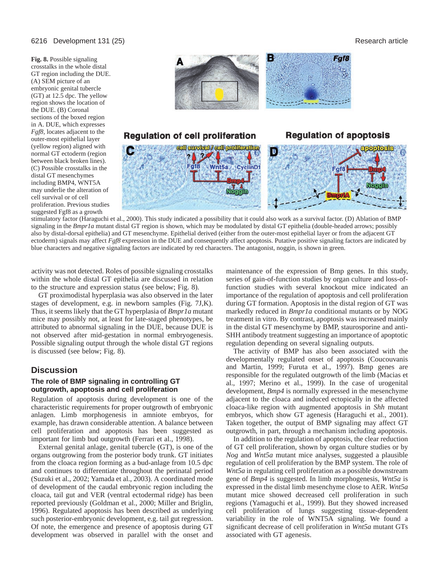#### 6216 Development 131 (25) Research article

**Fig. 8.** Possible signaling crosstalks in the whole distal GT region including the DUE. (A) SEM picture of an embryonic genital tubercle (GT) at 12.5 dpc. The yellow region shows the location of the DUE. (B) Coronal sections of the boxed region in A. DUE, which expresses *Fgf8,* locates adjacent to the outer-most epithelial layer (yellow region) aligned with normal GT ectoderm (region between black broken lines). (C) Possible crosstalks in the distal GT mesenchymes including BMP4, WNT5A may underlie the alteration of cell survival or of cell proliferation. Previous studies suggested Fgf8 as a growth



stimulatory factor (Haraguchi et al., 2000). This study indicated a possibility that it could also work as a survival factor. (D) Ablation of BMP signaling in the *Bmpr1a* mutant distal GT region is shown, which may be modulated by distal GT epithelia (double-headed arrows; possibly also by distal-dorsal epithelia) and GT mesenchyme. Epithelial derived (either from the outer-most epithelial layer or from the adjacent GT ectoderm) signals may affect *Fgf8* expression in the DUE and consequently affect apoptosis. Putative positive signaling factors are indicated by blue characters and negative signaling factors are indicated by red characters. The antagonist, noggin, is shown in green.

activity was not detected. Roles of possible signaling crosstalks within the whole distal GT epithelia are discussed in relation to the structure and expression status (see below; Fig. 8).

GT proximodistal hyperplasia was also observed in the later stages of development, e.g. in newborn samples (Fig. 7J,K). Thus, it seems likely that the GT hyperplasia of *Bmpr1a* mutant mice may possibly not, at least for late-staged phenotypes, be attributed to abnormal signaling in the DUE, because DUE is not observed after mid-gestation in normal embryogenesis. Possible signaling output through the whole distal GT regions is discussed (see below; Fig. 8).

## **Discussion**

#### **The role of BMP signaling in controlling GT outgrowth, apoptosis and cell proliferation**

Regulation of apoptosis during development is one of the characteristic requirements for proper outgrowth of embryonic anlagen. Limb morphogenesis in amniote embryos, for example, has drawn considerable attention. A balance between cell proliferation and apoptosis has been suggested as important for limb bud outgrowth (Ferrari et al., 1998).

External genital anlage, genital tubercle (GT), is one of the organs outgrowing from the posterior body trunk. GT initiates from the cloaca region forming as a bud-anlage from 10.5 dpc and continues to differentiate throughout the perinatal period (Suzuki et al., 2002; Yamada et al., 2003). A coordinated mode of development of the caudal embryonic region including the cloaca, tail gut and VER (ventral ectodermal ridge) has been reported previously (Goldman et al., 2000; Miller and Briglin, 1996). Regulated apoptosis has been described as underlying such posterior-embryonic development, e.g. tail gut regression. Of note, the emergence and presence of apoptosis during GT development was observed in parallel with the onset and

maintenance of the expression of Bmp genes. In this study, series of gain-of-function studies by organ culture and loss-offunction studies with several knockout mice indicated an importance of the regulation of apoptosis and cell proliferation during GT formation. Apoptosis in the distal region of GT was markedly reduced in *Bmpr1a* conditional mutants or by NOG treatment in vitro. By contrast, apoptosis was increased mainly in the distal GT mesenchyme by BMP, staurosporine and anti-SHH antibody treatment suggesting an importance of apoptotic regulation depending on several signaling outputs.

The activity of BMP has also been associated with the developmentally regulated onset of apoptosis (Coucouvanis and Martin, 1999; Furuta et al., 1997). Bmp genes are responsible for the regulated outgrowth of the limb (Macias et al., 1997; Merino et al., 1999). In the case of urogenital development, *Bmp4* is normally expressed in the mesenchyme adjacent to the cloaca and induced ectopically in the affected cloaca-like region with augmented apoptosis in *Shh* mutant embryos, which show GT agenesis (Haraguchi et al., 2001). Taken together, the output of BMP signaling may affect GT outgrowth, in part, through a mechanism including apoptosis.

In addition to the regulation of apoptosis, the clear reduction of GT cell proliferation, shown by organ culture studies or by *Nog* and *Wnt5a* mutant mice analyses, suggested a plausible regulation of cell proliferation by the BMP system. The role of *Wnt5a* in regulating cell proliferation as a possible downstream gene of *Bmp4* is suggested. In limb morphogenesis, *Wnt5a* is expressed in the distal limb mesenchyme close to AER. *Wnt5a* mutant mice showed decreased cell proliferation in such regions (Yamaguchi et al., 1999). But they showed increased cell proliferation of lungs suggesting tissue-dependent variability in the role of WNT5A signaling. We found a significant decrease of cell proliferation in *Wnt5a* mutant GTs associated with GT agenesis.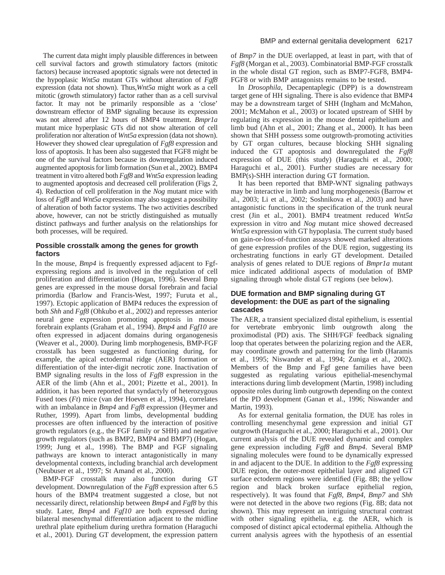The current data might imply plausible differences in between cell survival factors and growth stimulatory factors (mitotic factors) because increased apoptotic signals were not detected in the hypoplasic *Wnt5a* mutant GTs without alteration of *Fgf8* expression (data not shown). Thus,*Wnt5a* might work as a cell mitotic (growth stimulatory) factor rather than as a cell survival factor. It may not be primarily responsible as a 'close' downstream effector of BMP signaling because its expression was not altered after 12 hours of BMP4 treatment. *Bmpr1a* mutant mice hyperplasic GTs did not show alteration of cell proliferation nor alteration of *Wnt5a* expression (data not shown). However they showed clear upregulation of *Fgf8* expression and loss of apoptosis. It has been also suggested that FGF8 might be one of the survival factors because its downregulation induced augmented apoptosis for limb formation (Sun et al., 2002). BMP4 treatment in vitro altered both *Fgf8* and *Wnt5a* expression leading to augmented apoptosis and decreased cell proliferation (Figs 2, 4). Reduction of cell proliferation in the *Nog* mutant mice with loss of *Fgf8* and *Wnt5a* expression may also suggest a possibility of alteration of both factor systems. The two activities described above, however, can not be strictly distinguished as mutually distinct pathways and further analysis on the relationships for both processes, will be required.

### **Possible crosstalk among the genes for growth factors**

In the mouse, *Bmp4* is frequently expressed adjacent to Fgfexpressing regions and is involved in the regulation of cell proliferation and differentiation (Hogan, 1996). Several Bmp genes are expressed in the mouse dorsal forebrain and facial primordia (Barlow and Francis-West, 1997; Furuta et al., 1997). Ectopic application of BMP4 reduces the expression of both *Shh* and *Fgf8* (Ohkubo et al., 2002) and represses anterior neural gene expression promoting apoptosis in mouse forebrain explants (Graham et al., 1994). *Bmp4* and *Fgf10* are often expressed in adjacent domains during organogenesis (Weaver et al., 2000). During limb morphogenesis, BMP-FGF crosstalk has been suggested as functioning during, for example, the apical ectodermal ridge (AER) formation or differentiation of the inter-digit necrotic zone. Inactivation of BMP signaling results in the loss of *Fgf8* expression in the AER of the limb (Ahn et al., 2001; Pizette et al., 2001). In addition, it has been reported that syndactyly of heterozygous Fused toes (*Ft*) mice (van der Hoeven et al., 1994), correlates with an imbalance in *Bmp4* and *Fgf8* expression (Heymer and Ruther, 1999). Apart from limbs, developmental budding processes are often influenced by the interaction of positive growth regulators (e.g., the FGF family or SHH) and negative growth regulators (such as BMP2, BMP4 and BMP7) (Hogan, 1999; Jung et al., 1998). The BMP and FGF signaling pathways are known to interact antagonistically in many developmental contexts, including branchial arch development (Neubuser et al., 1997; St Amand et al., 2000).

BMP-FGF crosstalk may also function during GT development. Downregulation of the *Fgf8* expression after 6.5 hours of the BMP4 treatment suggested a close, but not necessarily direct, relationship between *Bmp4* and *Fgf8* by this study. Later, *Bmp4* and *Fgf10* are both expressed during bilateral mesenchymal differentiation adjacent to the midline urethral plate epithelium during urethra formation (Haraguchi et al., 2001). During GT development, the expression pattern

of *Bmp7* in the DUE overlapped, at least in part, with that of *Fgf8* (Morgan et al., 2003). Combinatorial BMP-FGF crosstalk in the whole distal GT region, such as BMP7-FGF8, BMP4- FGF8 or with BMP antagonists remains to be tested.

In *Drosophila*, Decapentaplegic (DPP) is a downstream target gene of HH signaling. There is also evidence that BMP4 may be a downstream target of SHH (Ingham and McMahon, 2001; McMahon et al., 2003) or located upstream of SHH by regulating its expression in the mouse dental epithelium and limb bud (Ahn et al., 2001; Zhang et al., 2000). It has been shown that SHH possess some outgrowth-promoting activities by GT organ cultures, because blocking SHH signaling induced the GT apoptosis and downregulated the *Fgf8* expression of DUE (this study) (Haraguchi et al., 2000; Haraguchi et al., 2001). Further studies are necessary for BMP(s)-SHH interaction during GT formation.

It has been reported that BMP-WNT signaling pathways may be interactive in limb and lung morphogenesis (Barrow et al., 2003; Li et al., 2002; Soshnikova et al., 2003) and have antagonistic functions in the specification of the trunk neural crest (Jin et al., 2001). BMP4 treatment reduced *Wnt5a* expression in vitro and *Nog* mutant mice showed decreased *Wnt5a* expression with GT hypoplasia. The current study based on gain-or-loss-of-function assays showed marked alterations of gene expression profiles of the DUE region, suggesting its orchestrating functions in early GT development. Detailed analysis of genes related to DUE regions of *Bmpr1a* mutant mice indicated additional aspects of modulation of BMP signaling through whole distal GT regions (see below).

### **DUE formation and BMP signaling during GT development: the DUE as part of the signaling cascades**

The AER, a transient specialized distal epithelium, is essential for vertebrate embryonic limb outgrowth along the proximodistal (PD) axis. The SHH/FGF feedback signaling loop that operates between the polarizing region and the AER, may coordinate growth and patterning for the limb (Haramis et al., 1995; Niswander et al., 1994; Zuniga et al., 2002). Members of the Bmp and Fgf gene families have been suggested as regulating various epithelial-mesenchymal interactions during limb development (Martin, 1998) including opposite roles during limb outgrowth depending on the context of the PD development (Ganan et al., 1996; Niswander and Martin, 1993).

As for external genitalia formation, the DUE has roles in controlling mesenchymal gene expression and initial GT outgrowth (Haraguchi et al., 2000; Haraguchi et al., 2001). Our current analysis of the DUE revealed dynamic and complex gene expression including *Fgf8* and *Bmp4*. Several BMP signaling molecules were found to be dynamically expressed in and adjacent to the DUE. In addition to the *Fgf8* expressing DUE region, the outer-most epithelial layer and aligned GT surface ectoderm regions were identified (Fig. 8B; the yellow region and black broken surface epithelial region, respectively). It was found that *Fgf8*, *Bmp4*, *Bmp7* and *Shh* were not detected in the above two regions (Fig. 8B; data not shown). This may represent an intriguing structural contrast with other signaling epithelia, e.g. the AER, which is composed of distinct apical ectodermal epithelia. Although the current analysis agrees with the hypothesis of an essential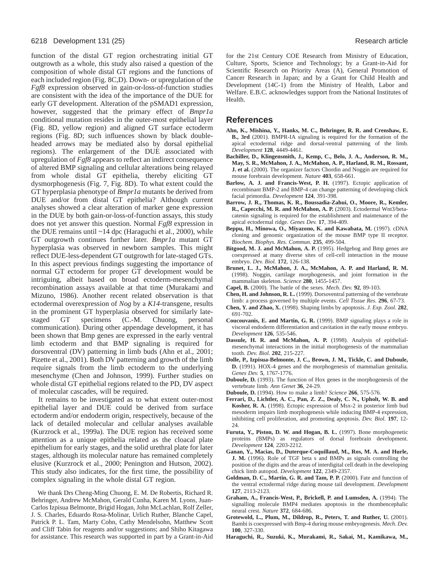function of the distal GT region orchestrating initial GT outgrowth as a whole, this study also raised a question of the composition of whole distal GT regions and the functions of each included region (Fig. 8C,D). Down- or upregulation of the *Fgf8* expression observed in gain-or-loss-of-function studies are consistent with the idea of the importance of the DUE for early GT development. Alteration of the pSMAD1 expression, however, suggested that the primary effect of *Bmpr1a* conditional mutation resides in the outer-most epithelial layer (Fig. 8D, yellow region) and aligned GT surface ectoderm regions (Fig. 8D; such influences shown by black doubleheaded arrows may be mediated also by dorsal epithelial regions). The enlargement of the DUE associated with upregulation of *Fgf8* appears to reflect an indirect consequence of altered BMP signaling and cellular alterations being relayed from whole distal GT epithelia, thereby eliciting GT dysmorphogenesis (Fig. 7, Fig. 8D). To what extent could the GT hyperplasia phenotype of *Bmpr1a* mutants be derived from DUE and/or from distal GT epithelia? Although current analyses showed a clear alteration of marker gene expression in the DUE by both gain-or-loss-of-function assays, this study does not yet answer this question. Normal *Fgf8* expression in the DUE remains until  $~14$  dpc (Haraguchi et al., 2000), while GT outgrowth continues further later. *Bmpr1a* mutant GT hyperplasia was observed in newborn samples. This might reflect DUE-less-dependent GT outgrowth for late-staged GTs. In this aspect previous findings suggesting the importance of normal GT ectoderm for proper GT development would be intriguing, albeit based on broad ectoderm-mesenchymal recombination assays available at that time (Murakami and Mizuno, 1986). Another recent related observation is that ectodermal overexpression of *Nog* by a *K14*-transgene, results in the prominent GT hyperplasia observed for similarly latestaged GT specimens (C.-M. Chuong, personal communication). During other appendage development, it has been shown that Bmp genes are expressed in the early ventral limb ectoderm and that BMP signaling is required for dorsoventral (DV) patterning in limb buds (Ahn et al., 2001; Pizette et al., 2001). Both DV patterning and growth of the limb require signals from the limb ectoderm to the underlying mesenchyme (Chen and Johnson, 1999). Further studies on whole distal GT epithelial regions related to the PD, DV aspect of molecular cascades, will be required.

It remains to be investigated as to what extent outer-most epithelial layer and DUE could be derived from surface ectoderm and/or endoderm origin, respectively, because of the lack of detailed molecular and cellular analyses available (Kurzrock et al., 1999a). The DUE region has received some attention as a unique epithelia related as the cloacal plate epithelium for early stages, and the solid urethral plate for later stages, although its molecular nature has remained completely elusive (Kurzrock et al., 2000; Penington and Hutson, 2002). This study also indicates, for the first time, the possibility of complex signaling in the whole distal GT region.

We thank Drs Cheng-Ming Chuong, E. M. De Robertis, Richard R. Behringer, Andrew McMahon, Gerald Cunha, Karen M. Lyons, Juan-Carlos Izpisua Belmonte, Brigid Hogan, John McLachlan, Rolf Zeller, J. S. Charles, Eduardo Rosa-Molinar, Urlich Ruther, Blanche Capel, Patrick P. L. Tam, Marty Cohn, Cathy Mendelsohn, Matthew Scott and Cliff Tabin for reagents and/or suggestions; and Shiho Kitagawa for assistance. This research was supported in part by a Grant-in-Aid for the 21st Century COE Research from Ministry of Education, Culture, Sports, Science and Technology; by a Grant-in-Aid for Scientific Research on Priority Areas (A), General Promotion of Cancer Research in Japan; and by a Grant for Child Health and Development (14C-1) from the Ministry of Health, Labor and Welfare. E.B.C. acknowledges support from the National Institutes of Health.

#### **References**

- **Ahn, K., Mishina, Y., Hanks, M. C., Behringer, R. R. and Crenshaw, E. B., 3rd** (2001). BMPR-IA signaling is required for the formation of the apical ectodermal ridge and dorsal-ventral patterning of the limb. *Development* **128**, 4449-4461.
- **Bachiller, D., Klingensmith, J., Kemp, C., Belo, J. A., Anderson, R. M., May, S. R., McMahon, J. A., McMahon, A. P., Harland, R. M., Rossant, J. et al.** (2000). The organizer factors Chordin and Noggin are required for mouse forebrain development. *Nature* **403**, 658-661.
- **Barlow, A. J. and Francis-West, P. H.** (1997). Ectopic application of recombinant BMP-2 and BMP-4 can change patterning of developing chick facial primordia. *Development* **124**, 391-398.
- **Barrow, J. R., Thomas, K. R., Boussadia-Zahui, O., Moore, R., Kemler, R., Capecchi, M. R. and McMahon, A. P.** (2003). Ectodermal Wnt3/betacatenin signaling is required for the establishment and maintenance of the apical ectodermal ridge. *Genes Dev.* **17**, 394-409.
- **Beppu, H., Minowa, O., Miyazono, K. and Kawabata, M.** (1997). cDNA cloning and genomic organization of the mouse BMP type II receptor. *Biochem. Biophys. Res. Commun.* **235**, 499-504.
- **Bitgood, M. J. and McMahon, A. P.** (1995). Hedgehog and Bmp genes are coexpressed at many diverse sites of cell-cell interaction in the mouse embryo. *Dev. Biol.* **172**, 126-138.
- **Brunet, L. J., McMahon, J. A., McMahon, A. P. and Harland, R. M.** (1998). Noggin, cartilage morphogenesis, and joint formation in the mammalian skeleton. *Science* **280**, 1455-1457.
- **Capel, B.** (2000). The battle of the sexes. *Mech. Dev.* **92**, 89-103.
- **Chen, H. and Johnson, R. L.** (1999). Dorsoventral patterning of the vertebrate limb: a process governed by multiple events. *Cell Tissue Res.* **296**, 67-73.
- **Chen, Y. and Zhao, X.** (1998). Shaping limbs by apoptosis. *J. Exp. Zool.* **282**, 691-702.
- **Coucouvanis, E. and Martin, G. R.** (1999). BMP signaling plays a role in visceral endoderm differentiation and cavitation in the early mouse embryo. *Development* **126**, 535-546.
- **Dassule, H. R. and McMahon, A. P.** (1998). Analysis of epithelialmesenchymal interactions in the initial morphogenesis of the mammalian tooth. *Dev. Biol.* **202**, 215-227.
- **Dolle, P., Izpisua-Belmonte, J. C., Brown, J. M., Tickle, C. and Duboule, D.** (1991). HOX-4 genes and the morphogenesis of mammalian genitalia. *Genes Dev.* **5**, 1767-1776.
- **Duboule, D.** (1993). The function of Hox genes in the morphogenesis of the vertebrate limb. *Ann Genet* **36**, 24-29.
- **Duboule, D.** (1994). How to make a limb? *Science* **266**, 575-576.
- **Ferrari, D., Lichtler, A. C., Pan, Z. Z., Dealy, C. N., Upholt, W. B. and Kosher, R. A.** (1998). Ectopic expression of Msx-2 in posterior limb bud mesoderm impairs limb morphogenesis while inducing BMP-4 expression, inhibiting cell proliferation, and promoting apoptosis. *Dev. Biol.* **197**, 12- 24.
- **Furuta, Y., Piston, D. W. and Hogan, B. L.** (1997). Bone morphogenetic proteins (BMPs) as regulators of dorsal forebrain development. *Development* **124**, 2203-2212.
- **Ganan, Y., Macias, D., Duterque-Coquillaud, M., Ros, M. A. and Hurle, J. M.** (1996). Role of TGF beta s and BMPs as signals controlling the position of the digits and the areas of interdigital cell death in the developing chick limb autopod. *Development* **122**, 2349-2357.
- **Goldman, D. C., Martin, G. R. and Tam, P. P.** (2000). Fate and function of the ventral ectodermal ridge during mouse tail development. *Development* **127**, 2113-2123.
- **Graham, A., Francis-West, P., Brickell, P. and Lumsden, A.** (1994). The signalling molecule BMP4 mediates apoptosis in the rhombencephalic neural crest. *Nature* **372**, 684-686.
- **Grotewold, L., Plum, M., Dildrop, R., Peters, T. and Ruther, U.** (2001). Bambi is coexpressed with Bmp-4 during mouse embryogenesis. *Mech. Dev.* **100**, 327-330.
- **Haraguchi, R., Suzuki, K., Murakami, R., Sakai, M., Kamikawa, M.,**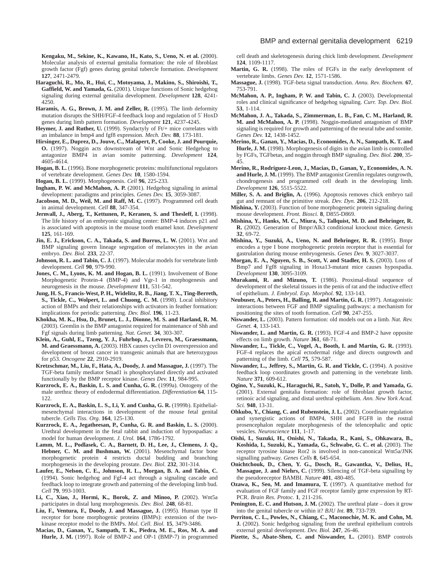**Kengaku, M., Sekine, K., Kawano, H., Kato, S., Ueno, N. et al.** (2000). Molecular analysis of external genitalia formation: the role of fibroblast growth factor (Fgf) genes during genital tubercle formation. *Development* **127**, 2471-2479.

**Haraguchi, R., Mo, R., Hui, C., Motoyama, J., Makino, S., Shiroishi, T., Gaffield, W. and Yamada, G.** (2001). Unique functions of Sonic hedgehog signaling during external genitalia development. *Development* **128**, 4241- 4250.

**Haramis, A. G., Brown, J. M. and Zeller, R.** (1995). The limb deformity mutation disrupts the SHH/FGF-4 feedback loop and regulation of 5′ HoxD genes during limb pattern formation. *Development* **121**, 4237-4245.

- Heymer, J. and Ruther, U. (1999). Syndactyly of Ft/+ mice correlates with an imbalance in bmp4 and fgf8 expression. *Mech. Dev.* **88**, 173-181.
- **Hirsinger, E., Duprez, D., Jouve, C., Malapert, P., Cooke, J. and Pourquie, O.** (1997). Noggin acts downstream of Wnt and Sonic Hedgehog to antagonize BMP4 in avian somite patterning. *Development* **124**, 4605-4614.
- **Hogan, B. L.** (1996). Bone morphogenetic proteins: multifunctional regulators of vertebrate development. *Genes Dev.* **10**, 1580-1594.
- **Hogan, B. L.** (1999). Morphogenesis. *Cell* **96**, 225-233.
- **Ingham, P. W. and McMahon, A. P.** (2001). Hedgehog signaling in animal development: paradigms and principles. *Genes Dev.* **15**, 3059-3087.
- **Jacobson, M. D., Weil, M. and Raff, M. C.** (1997). Programmed cell death in animal development. *Cell* **88**, 347-354.
- **Jernvall, J., Aberg, T., Kettunen, P., Keranen, S. and Thesleff, I.** (1998). The life history of an embryonic signaling center: BMP-4 induces p21 and is associated with apoptosis in the mouse tooth enamel knot. *Development* **125**, 161-169.
- **Jin, E. J., Erickson, C. A., Takada, S. and Burrus, L. W.** (2001). Wnt and BMP signaling govern lineage segregation of melanocytes in the avian embryo. *Dev. Biol.* **233**, 22-37.
- **Johnson, R. L. and Tabin, C. J.** (1997). Molecular models for vertebrate limb development. *Cell* **90**, 979-990.
- **Jones, C. M., Lyons, K. M. and Hogan, B. L.** (1991). Involvement of Bone Morphogenetic Protein-4 (BMP-4) and Vgr-1 in morphogenesis and neurogenesis in the mouse. *Development* **111**, 531-542.
- **Jung, H. S., Francis-West, P. H., Widelitz, R. B., Jiang, T. X., Ting-Berreth, S., Tickle, C., Wolpert, L. and Chuong, C. M.** (1998). Local inhibitory action of BMPs and their relationships with activators in feather formation: implications for periodic patterning. *Dev. Biol.* **196**, 11-23.
- **Khokha, M. K., Hsu, D., Brunet, L. J., Dionne, M. S. and Harland, R. M.** (2003). Gremlin is the BMP antagonist required for maintenance of Shh and Fgf signals during limb patterning. *Nat. Genet.* **34**, 303-307.
- **Klein, A., Guhl, E., Tzeng, Y. J., Fuhrhop, J., Levrero, M., Graessmann, M. and Graessmann, A.** (2003). HBX causes cyclin D1 overexpression and development of breast cancer in transgenic animals that are heterozygous for p53. *Oncogene* **22**, 2910-2919.
- **Kretzschmar, M., Liu, F., Hata, A., Doody, J. and Massague, J.** (1997). The TGF-beta family mediator Smad1 is phosphorylated directly and activated functionally by the BMP receptor kinase. *Genes Dev.* **11**, 984-995.
- **Kurzrock, E. A., Baskin, L. S. and Cunha, G. R.** (1999a). Ontogeny of the male urethra: theory of endodermal differentiation. *Differentiation* **64**, 115- 122.
- **Kurzrock, E. A., Baskin, L. S., Li, Y. and Cunha, G. R.** (1999b). Epithelialmesenchymal interactions in development of the mouse fetal genital tubercle. *Cells Tiss. Org.* **164**, 125-130.
- **Kurzrock, E. A., Jegatheesan, P., Cunha, G. R. and Baskin, L. S.** (2000). Urethral development in the fetal rabbit and induction of hypospadias: a model for human development. *J. Urol.* **164**, 1786-1792.
- **Lamm, M. L., Podlasek, C. A., Barnett, D. H., Lee, J., Clemens, J. Q., Hebner, C. M. and Bushman, W.** (2001). Mesenchymal factor bone morphogenetic protein 4 restricts ductal budding and branching morphogenesis in the developing prostate. *Dev. Biol.* **232**, 301-314.
- **Laufer, E., Nelson, C. E., Johnson, R. L., Morgan, B. A. and Tabin, C.** (1994). Sonic hedgehog and Fgf-4 act through a signaling cascade and feedback loop to integrate growth and patterning of the developing limb bud. *Cell* **79**, 993-1003.
- **Li, C., Xiao, J., Hormi, K., Borok, Z. and Minoo, P.** (2002). Wnt5a participates in distal lung morphogenesis. *Dev. Biol.* **248**, 68-81.
- **Liu, F., Ventura, F., Doody, J. and Massague, J.** (1995). Human type II receptor for bone morphogenic proteins (BMPs): extension of the twokinase receptor model to the BMPs. *Mol. Cell. Biol.* **15**, 3479-3486.
- **Macias, D., Ganan, Y., Sampath, T. K., Piedra, M. E., Ros, M. A. and Hurle, J. M.** (1997). Role of BMP-2 and OP-1 (BMP-7) in programmed

cell death and skeletogenesis during chick limb development. *Development* **124**, 1109-1117.

- **Martin, G. R.** (1998). The roles of FGFs in the early development of vertebrate limbs. *Genes Dev.* **12**, 1571-1586.
- **Massague, J.** (1998). TGF-beta signal transduction. *Annu. Rev. Biochem.* **67**, 753-791.
- **McMahon, A. P., Ingham, P. W. and Tabin, C. J.** (2003). Developmental roles and clinical significance of hedgehog signaling. *Curr. Top. Dev. Biol.* **53**, 1-114.
- **McMahon, J. A., Takada, S., Zimmerman, L. B., Fan, C. M., Harland, R. M. and McMahon, A. P.** (1998). Noggin-mediated antagonism of BMP signaling is required for growth and patterning of the neural tube and somite. *Genes Dev.* **12**, 1438-1452.
- **Merino, R., Ganan, Y., Macias, D., Economides, A. N., Sampath, K. T. and Hurle, J. M.** (1998). Morphogenesis of digits in the avian limb is controlled by FGFs, TGFbetas, and noggin through BMP signaling. *Dev. Biol.* **200**, 35- 45.
- **Merino, R., Rodriguez-Leon, J., Macias, D., Ganan, Y., Economides, A. N. and Hurle, J. M.** (1999). The BMP antagonist Gremlin regulates outgrowth, chondrogenesis and programmed cell death in the developing limb. *Development* **126**, 5515-5522.
- **Miller, S. A. and Briglin, A.** (1996). Apoptosis removes chick embryo tail gut and remnant of the primitive streak. *Dev. Dyn.* **206**, 212-218.
- **Mishina, Y.** (2003). Function of bone morphogenetic protein signaling during mouse development. *Front. Biosci.* **8**, D855-D869.
- **Mishina, Y., Hanks, M. C., Miura, S., Tallquist, M. D. and Behringer, R. R.** (2002). Generation of Bmpr/Alk3 conditional knockout mice. *Genesis* **32**, 69-72.
- **Mishina, Y., Suzuki, A., Ueno, N. and Behringer, R. R.** (1995). Bmpr encodes a type I bone morphogenetic protein receptor that is essential for gastrulation during mouse embryogenesis. *Genes Dev.* **9**, 3027-3037.
- **Morgan, E. A., Nguyen, S. B., Scott, V. and Stadler, H. S.** (2003). Loss of Bmp7 and Fgf8 signaling in Hoxa13-mutant mice causes hypospadia. *Development* **130**, 3095-3109.
- **Murakami, R. and Mizuno, T.** (1986). Proximal-distal sequence of development of the skeletal tissues in the penis of rat and the inductive effect of epithelium. *J. Embryol. Exp. Morphol.* **92**, 133-143.
- **Neubuser, A., Peters, H., Balling, R. and Martin, G. R.** (1997). Antagonistic interactions between FGF and BMP signaling pathways: a mechanism for positioning the sites of tooth formation. *Cell* **90**, 247-255.
- **Niswander, L.** (2003). Pattern formation: old models out on a limb. *Nat. Rev. Genet.* **4**, 133-143.
- **Niswander, L. and Martin, G. R.** (1993). FGF-4 and BMP-2 have opposite effects on limb growth. *Nature* **361**, 68-71.
- **Niswander, L., Tickle, C., Vogel, A., Booth, I. and Martin, G. R.** (1993). FGF-4 replaces the apical ectodermal ridge and directs outgrowth and patterning of the limb. *Cell* **75**, 579-587.
- **Niswander, L., Jeffrey, S., Martin, G. R. and Tickle, C.** (1994). A positive feedback loop coordinates growth and patterning in the vertebrate limb. *Nature* **371**, 609-612.
- **Ogino, Y., Suzuki, K., Haraguchi, R., Satoh, Y., Dolle, P. and Yamada, G.** (2001). External genitalia formation: role of fibroblast growth factor, retinoic acid signaling, and distal urethral epithelium. *Ann. New York Acad. Sci.* **948**, 13-31.
- **Ohkubo, Y., Chiang, C. and Rubenstein, J. L.** (2002). Coordinate regulation and synergistic actions of BMP4, SHH and FGF8 in the rostral prosencephalon regulate morphogenesis of the telencephalic and optic vesicles. *Neuroscience* **111**, 1-17.
- **Oishi, I., Suzuki, H., Onishi, N., Takada, R., Kani, S., Ohkawara, B., Koshida, I., Suzuki, K., Yamada, G., Schwabe, G. C. et al.** (2003). The receptor tyrosine kinase Ror2 is involved in non-canonical Wnt5a/JNK signalling pathway. *Genes Cells* **8**, 645-654.
- **Onichtchouk, D., Chen, Y. G., Dosch, R., Gawantka, V., Delius, H., Massague, J. and Niehrs, C.** (1999). Silencing of TGF-beta signalling by the pseudoreceptor BAMBI. *Nature* **401**, 480-485.
- **Ozawa, K., Seo, M. and Imamura, T.** (1997). A quantitative method for evaluation of FGF family and FGF receptor family gene expression by RT-PCR. *Brain Res. Protoc.* **1**, 211-216.
- Penington, E. C. and Hutson, J. M. (2002). The urethral plate does it grow into the genital tubercle or within it? *BJU Int.* **89**, 733-739.
- **Perriton, C. L., Powles, N., Chiang, C., Maconochie, M. K. and Cohn, M. J.** (2002). Sonic hedgehog signaling from the urethral epithelium controls external genital development. *Dev. Biol.* **247**, 26-46.
- **Pizette, S., Abate-Shen, C. and Niswander, L.** (2001). BMP controls